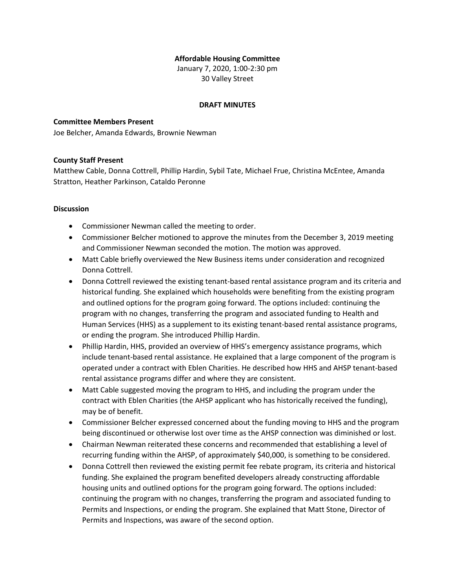## **Affordable Housing Committee**

January 7, 2020, 1:00-2:30 pm 30 Valley Street

### **DRAFT MINUTES**

### **Committee Members Present**

Joe Belcher, Amanda Edwards, Brownie Newman

### **County Staff Present**

Matthew Cable, Donna Cottrell, Phillip Hardin, Sybil Tate, Michael Frue, Christina McEntee, Amanda Stratton, Heather Parkinson, Cataldo Peronne

### **Discussion**

- Commissioner Newman called the meeting to order.
- Commissioner Belcher motioned to approve the minutes from the December 3, 2019 meeting and Commissioner Newman seconded the motion. The motion was approved.
- Matt Cable briefly overviewed the New Business items under consideration and recognized Donna Cottrell.
- Donna Cottrell reviewed the existing tenant-based rental assistance program and its criteria and historical funding. She explained which households were benefiting from the existing program and outlined options for the program going forward. The options included: continuing the program with no changes, transferring the program and associated funding to Health and Human Services (HHS) as a supplement to its existing tenant-based rental assistance programs, or ending the program. She introduced Phillip Hardin.
- Phillip Hardin, HHS, provided an overview of HHS's emergency assistance programs, which include tenant-based rental assistance. He explained that a large component of the program is operated under a contract with Eblen Charities. He described how HHS and AHSP tenant-based rental assistance programs differ and where they are consistent.
- Matt Cable suggested moving the program to HHS, and including the program under the contract with Eblen Charities (the AHSP applicant who has historically received the funding), may be of benefit.
- Commissioner Belcher expressed concerned about the funding moving to HHS and the program being discontinued or otherwise lost over time as the AHSP connection was diminished or lost.
- Chairman Newman reiterated these concerns and recommended that establishing a level of recurring funding within the AHSP, of approximately \$40,000, is something to be considered.
- Donna Cottrell then reviewed the existing permit fee rebate program, its criteria and historical funding. She explained the program benefited developers already constructing affordable housing units and outlined options for the program going forward. The options included: continuing the program with no changes, transferring the program and associated funding to Permits and Inspections, or ending the program. She explained that Matt Stone, Director of Permits and Inspections, was aware of the second option.